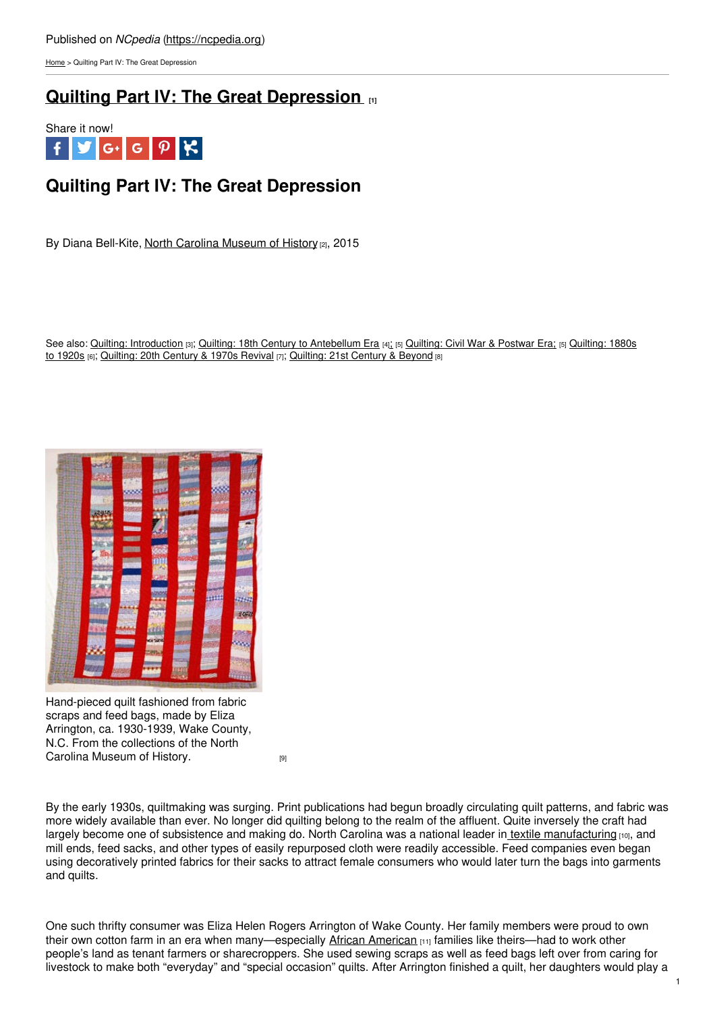[Home](https://ncpedia.org/) > Quilting Part IV: The Great Depression

## **Quilting Part IV: The Great [Depression](https://ncpedia.org/quilting-part-iv-great-depression) [1]**



# **Quilting Part IV: The Great Depression**

By Diana Bell-Kite, North Carolina [Museum](https://www.ncmuseumofhistory.org/) of History [2], 2015

See also: Quilting: [Introduction](https://ncpedia.org/quilting-part-iii-1880s-1920s) [3]; Quilting: 18th Century to [Antebellum](https://ncpedia.org/quilting-part-i-18th-century) Era [4][;](https://ncpedia.org/quilting-part-ii-civil-war-postwar) [5] [Quilting:](https://ncpedia.org/quilting-part-ii-civil-war-postwar) Civil War & Postwar Era; [5] Quilting: 1880s to 1920s [6]; [Quilting:](https://ncpedia.org/quilting-part-vi-21st-century-and) 20th Century & 1970s Revival [7]; Quilting: 21st Century & Beyond [8]



Hand-pieced quilt fashioned from fabric scraps and feed bags, made by Eliza Arrington, ca. 1930-1939, Wake County, N.C. From the collections of the North Carolina [Museum](https://collections.ncdcr.gov/RediscoveryProficioPublicSearch/ShowItem.aspx?45471+&45471+) of History.

By the early 1930s, quiltmaking was surging. Print publications had begun broadly circulating quilt patterns, and fabric was more widely available than ever. No longer did quilting belong to the realm of the affluent. Quite inversely the craft had largely become one of subsistence and making do. North Carolina was a national leader in textile [manufacturing](https://ncpedia.org/textiles) [10], and mill ends, feed sacks, and other types of easily repurposed cloth were readily accessible. Feed companies even began using decoratively printed fabrics for their sacks to attract female consumers who would later turn the bags into garments and quilts.

One such thrifty consumer was Eliza Helen Rogers Arrington of Wake County. Her family members were proud to own their own cotton farm in an era when many—especially African [American](https://ncpedia.org/african-americans/introduction) [11] families like theirs—had to work other people's land as tenant farmers or sharecroppers. She used sewing scraps as well as feed bags left over from caring for livestock to make both "everyday" and "special occasion" quilts. After Arrington finished a quilt, her daughters would play a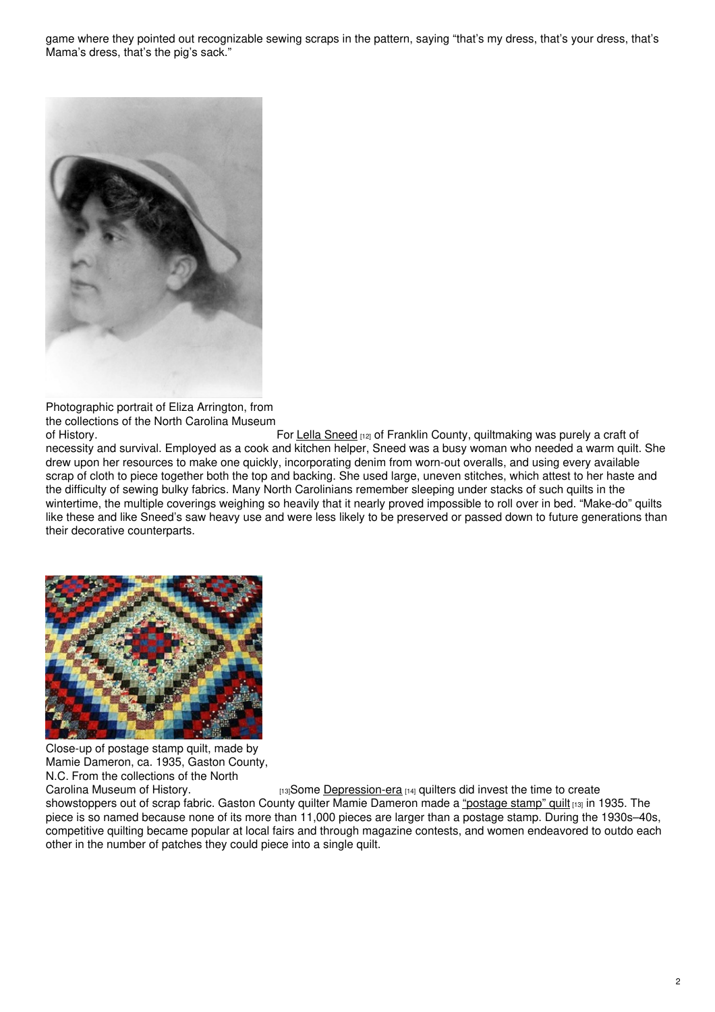game where they pointed out recognizable sewing scraps in the pattern, saying "that's my dress, that's your dress, that's Mama's dress, that's the pig's sack."



Photographic portrait of Eliza Arrington, from the collections of the North Carolina Museum

of History. The History example of History. For Lella [Sneed](https://collections.ncdcr.gov/RediscoveryProficioPublicSearch/ShowItem.aspx?56559+&56559+)  $_{[12]}$  of Franklin County, quiltmaking was purely a craft of necessity and survival. Employed as a cook and kitchen helper, Sneed was a busy woman who needed a warm quilt. She drew upon her resources to make one quickly, incorporating denim from worn-out overalls, and using every available scrap of cloth to piece together both the top and backing. She used large, uneven stitches, which attest to her haste and the difficulty of sewing bulky fabrics. Many North Carolinians remember sleeping under stacks of such quilts in the wintertime, the multiple coverings weighing so heavily that it nearly proved impossible to roll over in bed. "Make-do" quilts like these and like Sneed's saw heavy use and were less likely to be preserved or passed down to future generations than their decorative counterparts.



Close-up of postage stamp quilt, made by Mamie Dameron, ca. 1935, Gaston County, N.C. From the collections of the North<br>Carolina Museum of History.

[13] Some [Depression-era](https://ncpedia.org/great-depression) [14] quilters did invest the time to create

showstoppers out of scrap fabric. Gaston County quilter Mamie Dameron made a ["postage](https://collections.ncdcr.gov/RediscoveryProficioPublicSearch/ShowItem.aspx?66508+&66508+) stamp" quilt [13] in 1935. The piece is so named because none of its more than 11,000 pieces are larger than a postage stamp. During the 1930s–40s, competitive quilting became popular at local fairs and through magazine contests, and women endeavored to outdo each other in the number of patches they could piece into a single quilt.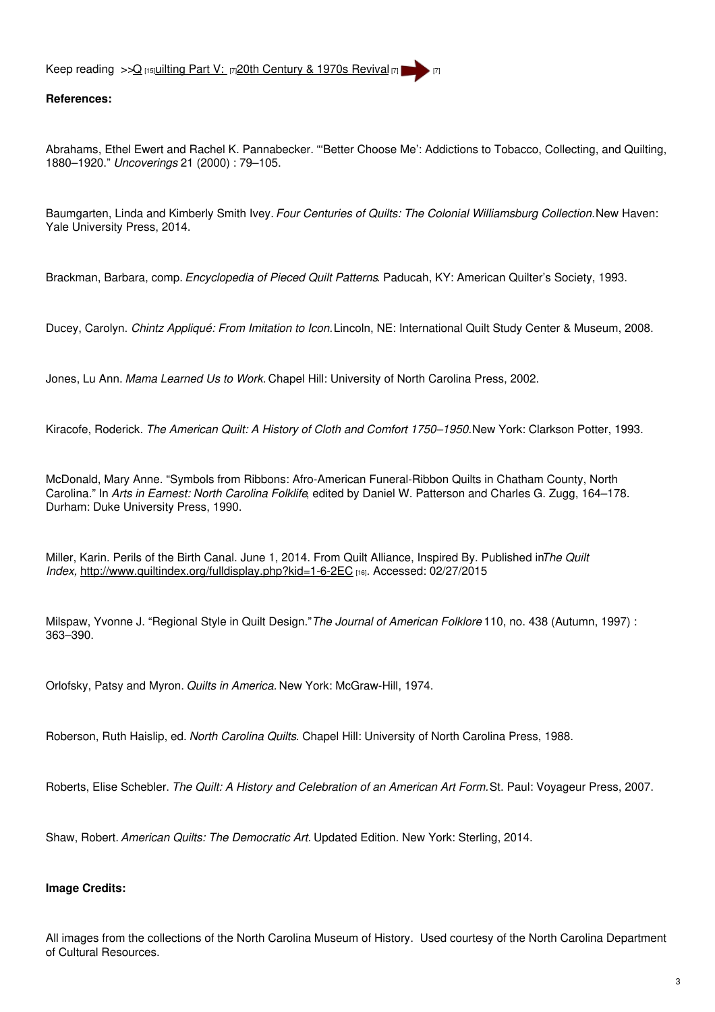Keep reading >[>Q](https://ncpedia.org/part-2-secession-and-first-north-ca) [15][uilting](https://ncpedia.org/quilting-part-v-20th-century-and) Part V: [7]20th [Century](https://ncpedia.org/quilting-part-v-20th-century-and) & 1970s Revival [7]

### **References:**

Abrahams, Ethel Ewert and Rachel K. Pannabecker. "'Better Choose Me': Addictions to Tobacco, Collecting, and Quilting, 1880–1920." *Uncoverings* 21 (2000) : 79–105.

Baumgarten, Linda and Kimberly Smith Ivey. *Four Centuries of Quilts: The Colonial Williamsburg Collection.*New Haven: Yale University Press, 2014.

Brackman, Barbara, comp. *Encyclopedia of Pieced Quilt Patterns*. Paducah, KY: American Quilter's Society, 1993.

Ducey, Carolyn. *Chintz Appliqué: From Imitation to Icon.*Lincoln, NE: International Quilt Study Center & Museum, 2008.

Jones, Lu Ann. *Mama Learned Us to Work.* Chapel Hill: University of North Carolina Press, 2002.

Kiracofe, Roderick. *The American Quilt: A History of Cloth and Comfort 1750–1950.*New York: Clarkson Potter, 1993.

McDonald, Mary Anne. "Symbols from Ribbons: Afro-American Funeral-Ribbon Quilts in Chatham County, North Carolina." In *Arts in Earnest: North Carolina Folklife*, edited by Daniel W. Patterson and Charles G. Zugg, 164–178. Durham: Duke University Press, 1990.

Miller, Karin. Perils of the Birth Canal. June 1, 2014. From Quilt Alliance, Inspired By. Published in*The Quilt Index,* <http://www.quiltindex.org/fulldisplay.php?kid=1-6-2EC> [16]. Accessed: 02/27/2015

Milspaw, Yvonne J. "Regional Style in Quilt Design."*The Journal of American Folklore* 110, no. 438 (Autumn, 1997) : 363–390.

Orlofsky, Patsy and Myron. *Quilts in America.* New York: McGraw-Hill, 1974.

Roberson, Ruth Haislip, ed. *North Carolina Quilts*. Chapel Hill: University of North Carolina Press, 1988.

Roberts, Elise Schebler. *The Quilt: A History and Celebration of an American Art Form.*St. Paul: Voyageur Press, 2007.

Shaw, Robert. *American Quilts: The Democratic Art.* Updated Edition. New York: Sterling, 2014.

#### **Image Credits:**

All images from the collections of the North Carolina Museum of History. Used courtesy of the North Carolina Department of Cultural Resources.